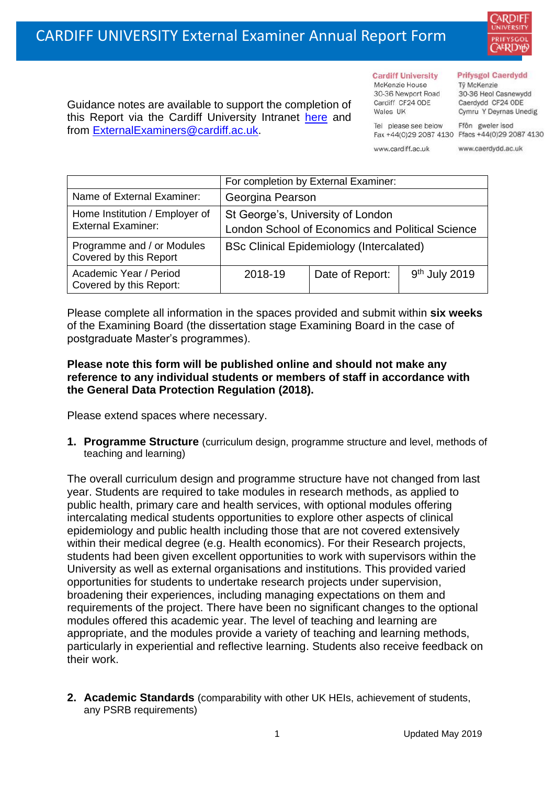

Guidance notes are available to support the completion of this Report via the Cardiff University Intranet [here](https://intranet.cardiff.ac.uk/staff/teaching-and-supporting-students/exams-and-assessment/exam-boards-and-external-examiners/for-current-external-examiners/external-examiners-reports) and from [ExternalExaminers@cardiff.ac.uk.](mailto:ExternalExaminers@cardiff.ac.uk)

#### **Cardiff University** McKenzie House 30-36 Newport Road Cardiff CF24 ODE

Tel please see below

Wales UK

#### **Prifysgol Caerdydd**

Từ McKenzie 30-36 Heol Casnewydd Caerdydd CF24 ODE Cymru Y Deyrnas Unedig

Ffôn gweler isod Fax +44(0)29 2087 4130 Ffacs +44(0)29 2087 4130

www.cardiff.ac.uk www.caerdydd.ac.uk

|                                                             | For completion by External Examiner:                                                  |                 |                           |  |  |
|-------------------------------------------------------------|---------------------------------------------------------------------------------------|-----------------|---------------------------|--|--|
| Name of External Examiner:                                  | Georgina Pearson                                                                      |                 |                           |  |  |
| Home Institution / Employer of<br><b>External Examiner:</b> | St George's, University of London<br>London School of Economics and Political Science |                 |                           |  |  |
| Programme and / or Modules<br>Covered by this Report        | <b>BSc Clinical Epidemiology (Intercalated)</b>                                       |                 |                           |  |  |
| Academic Year / Period<br>Covered by this Report:           | 2018-19                                                                               | Date of Report: | 9 <sup>th</sup> July 2019 |  |  |

Please complete all information in the spaces provided and submit within **six weeks** of the Examining Board (the dissertation stage Examining Board in the case of postgraduate Master's programmes).

## **Please note this form will be published online and should not make any reference to any individual students or members of staff in accordance with the General Data Protection Regulation (2018).**

Please extend spaces where necessary.

**1. Programme Structure** (curriculum design, programme structure and level, methods of teaching and learning)

The overall curriculum design and programme structure have not changed from last year. Students are required to take modules in research methods, as applied to public health, primary care and health services, with optional modules offering intercalating medical students opportunities to explore other aspects of clinical epidemiology and public health including those that are not covered extensively within their medical degree (e.g. Health economics). For their Research projects, students had been given excellent opportunities to work with supervisors within the University as well as external organisations and institutions. This provided varied opportunities for students to undertake research projects under supervision, broadening their experiences, including managing expectations on them and requirements of the project. There have been no significant changes to the optional modules offered this academic year. The level of teaching and learning are appropriate, and the modules provide a variety of teaching and learning methods, particularly in experiential and reflective learning. Students also receive feedback on their work.

**2. Academic Standards** (comparability with other UK HEIs, achievement of students, any PSRB requirements)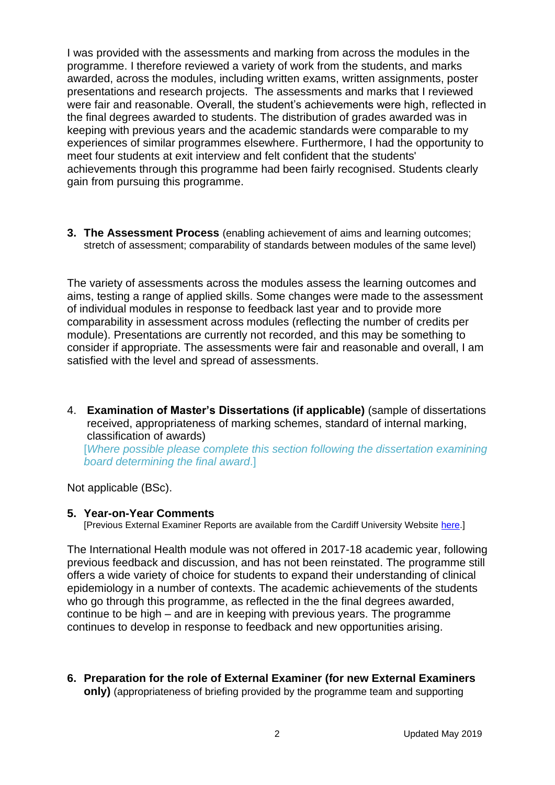I was provided with the assessments and marking from across the modules in the programme. I therefore reviewed a variety of work from the students, and marks awarded, across the modules, including written exams, written assignments, poster presentations and research projects. The assessments and marks that I reviewed were fair and reasonable. Overall, the student's achievements were high, reflected in the final degrees awarded to students. The distribution of grades awarded was in keeping with previous years and the academic standards were comparable to my experiences of similar programmes elsewhere. Furthermore, I had the opportunity to meet four students at exit interview and felt confident that the students' achievements through this programme had been fairly recognised. Students clearly gain from pursuing this programme.

**3. The Assessment Process** (enabling achievement of aims and learning outcomes; stretch of assessment; comparability of standards between modules of the same level)

The variety of assessments across the modules assess the learning outcomes and aims, testing a range of applied skills. Some changes were made to the assessment of individual modules in response to feedback last year and to provide more comparability in assessment across modules (reflecting the number of credits per module). Presentations are currently not recorded, and this may be something to consider if appropriate. The assessments were fair and reasonable and overall, I am satisfied with the level and spread of assessments.

4. **Examination of Master's Dissertations (if applicable)** (sample of dissertations received, appropriateness of marking schemes, standard of internal marking, classification of awards)

[*Where possible please complete this section following the dissertation examining board determining the final award*.]

Not applicable (BSc).

### **5. Year-on-Year Comments**

[Previous External Examiner Reports are available from the Cardiff University Website [here.](https://www.cardiff.ac.uk/public-information/quality-and-standards/external-examiner-reports)]

The International Health module was not offered in 2017-18 academic year, following previous feedback and discussion, and has not been reinstated. The programme still offers a wide variety of choice for students to expand their understanding of clinical epidemiology in a number of contexts. The academic achievements of the students who go through this programme, as reflected in the the final degrees awarded, continue to be high – and are in keeping with previous years. The programme continues to develop in response to feedback and new opportunities arising.

**6. Preparation for the role of External Examiner (for new External Examiners only)** (appropriateness of briefing provided by the programme team and supporting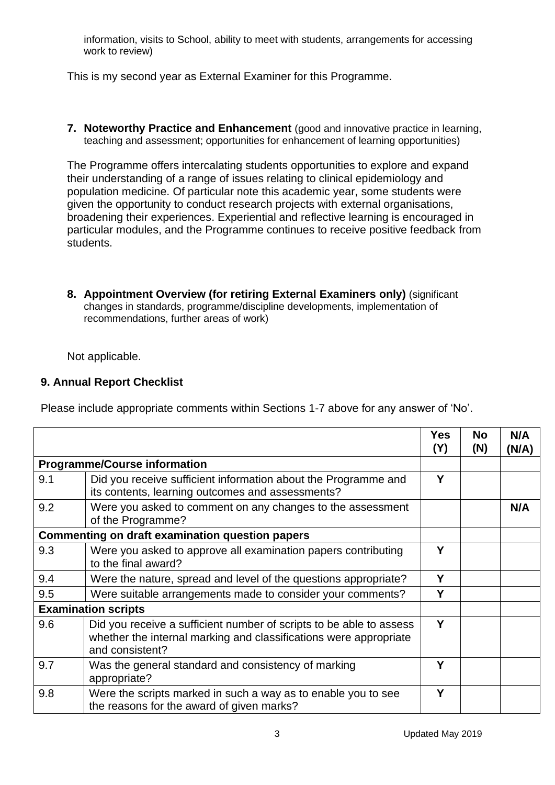information, visits to School, ability to meet with students, arrangements for accessing work to review)

This is my second year as External Examiner for this Programme.

**7. Noteworthy Practice and Enhancement** (good and innovative practice in learning, teaching and assessment; opportunities for enhancement of learning opportunities)

The Programme offers intercalating students opportunities to explore and expand their understanding of a range of issues relating to clinical epidemiology and population medicine. Of particular note this academic year, some students were given the opportunity to conduct research projects with external organisations, broadening their experiences. Experiential and reflective learning is encouraged in particular modules, and the Programme continues to receive positive feedback from students.

**8. Appointment Overview (for retiring External Examiners only)** (significant changes in standards, programme/discipline developments, implementation of recommendations, further areas of work)

Not applicable.

# **9. Annual Report Checklist**

Please include appropriate comments within Sections 1-7 above for any answer of 'No'.

|                                     |                                                                                                                                                             | Yes<br>(Y) | No<br>(N) | N/A<br>(N/A) |
|-------------------------------------|-------------------------------------------------------------------------------------------------------------------------------------------------------------|------------|-----------|--------------|
| <b>Programme/Course information</b> |                                                                                                                                                             |            |           |              |
| 9.1                                 | Did you receive sufficient information about the Programme and<br>its contents, learning outcomes and assessments?                                          | Y          |           |              |
| 9.2                                 | Were you asked to comment on any changes to the assessment<br>of the Programme?                                                                             |            |           | N/A          |
|                                     | <b>Commenting on draft examination question papers</b>                                                                                                      |            |           |              |
| 9.3                                 | Were you asked to approve all examination papers contributing<br>to the final award?                                                                        | Υ          |           |              |
| 9.4                                 | Were the nature, spread and level of the questions appropriate?                                                                                             | Y          |           |              |
| 9.5                                 | Were suitable arrangements made to consider your comments?                                                                                                  | Y          |           |              |
|                                     | <b>Examination scripts</b>                                                                                                                                  |            |           |              |
| 9.6                                 | Did you receive a sufficient number of scripts to be able to assess<br>whether the internal marking and classifications were appropriate<br>and consistent? | Y          |           |              |
| 9.7                                 | Was the general standard and consistency of marking<br>appropriate?                                                                                         | Υ          |           |              |
| 9.8                                 | Were the scripts marked in such a way as to enable you to see<br>the reasons for the award of given marks?                                                  | Υ          |           |              |